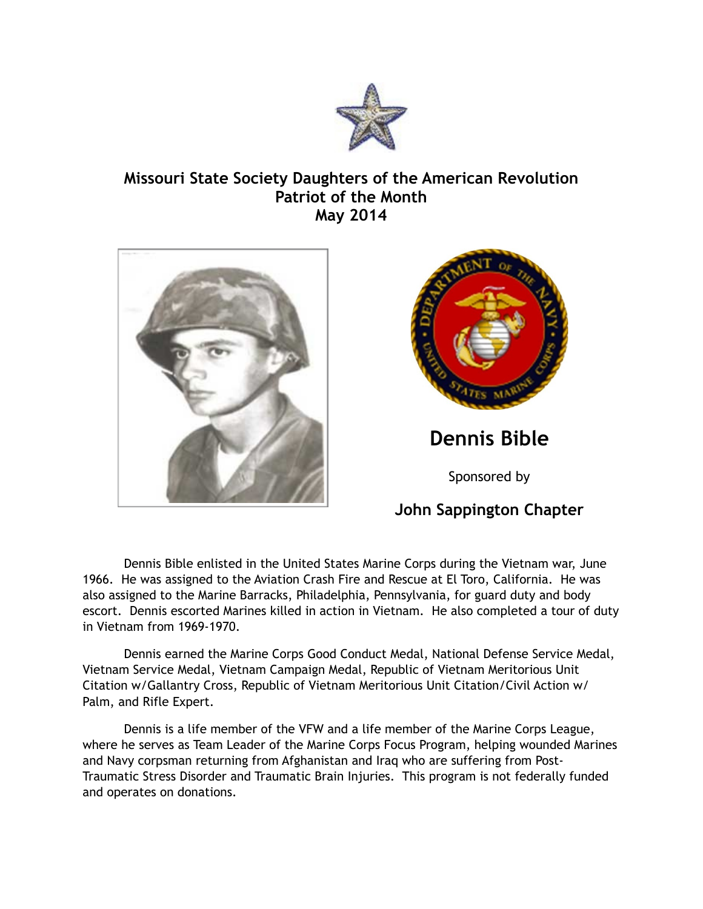

## **Missouri State Society Daughters of the American Revolution Patriot of the Month May 2014**





**Dennis Bible** 

Sponsored by

## **John Sappington Chapter**

 Dennis Bible enlisted in the United States Marine Corps during the Vietnam war, June 1966. He was assigned to the Aviation Crash Fire and Rescue at El Toro, California. He was also assigned to the Marine Barracks, Philadelphia, Pennsylvania, for guard duty and body escort. Dennis escorted Marines killed in action in Vietnam. He also completed a tour of duty in Vietnam from 1969-1970.

 Dennis earned the Marine Corps Good Conduct Medal, National Defense Service Medal, Vietnam Service Medal, Vietnam Campaign Medal, Republic of Vietnam Meritorious Unit Citation w/Gallantry Cross, Republic of Vietnam Meritorious Unit Citation/Civil Action w/ Palm, and Rifle Expert.

 Dennis is a life member of the VFW and a life member of the Marine Corps League, where he serves as Team Leader of the Marine Corps Focus Program, helping wounded Marines and Navy corpsman returning from Afghanistan and Iraq who are suffering from Post-Traumatic Stress Disorder and Traumatic Brain Injuries. This program is not federally funded and operates on donations.